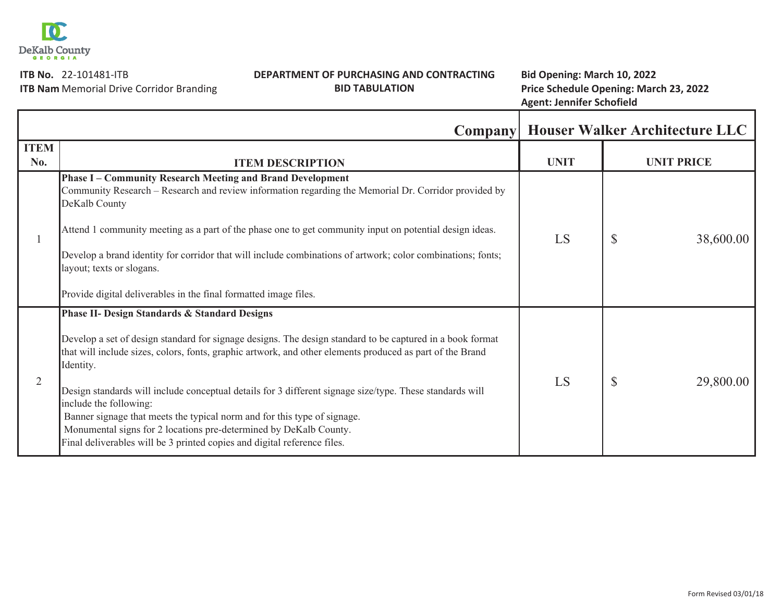

**ITB No. 22-101481-ITB** 

## **No.** 22Ͳ101481ͲITB **Bid Opening: March 10, 2022 DEPARTMENT OF PURCHASING AND CONTRACTING BID TABULATION**

 Memorial Drive Corridor Branding **Price Schedule Opening: March 23, 2022 Agent: Jennifer Schofield**

**ITB Nam**

|                    |                                                                                                                                                                                                                                                                                                                                                                                                                                                                                                                                                                                                                                                                    |             | <b>Company   Houser Walker Architecture LLC</b> |
|--------------------|--------------------------------------------------------------------------------------------------------------------------------------------------------------------------------------------------------------------------------------------------------------------------------------------------------------------------------------------------------------------------------------------------------------------------------------------------------------------------------------------------------------------------------------------------------------------------------------------------------------------------------------------------------------------|-------------|-------------------------------------------------|
| <b>ITEM</b><br>No. | <b>ITEM DESCRIPTION</b>                                                                                                                                                                                                                                                                                                                                                                                                                                                                                                                                                                                                                                            | <b>UNIT</b> | <b>UNIT PRICE</b>                               |
|                    | <b>Phase I – Community Research Meeting and Brand Development</b><br>Community Research – Research and review information regarding the Memorial Dr. Corridor provided by<br>DeKalb County<br>Attend 1 community meeting as a part of the phase one to get community input on potential design ideas.<br>Develop a brand identity for corridor that will include combinations of artwork; color combinations; fonts;<br>layout; texts or slogans.<br>Provide digital deliverables in the final formatted image files.                                                                                                                                              | LS          | $\mathcal{S}$<br>38,600.00                      |
| 2                  | <b>Phase II- Design Standards &amp; Standard Designs</b><br>Develop a set of design standard for signage designs. The design standard to be captured in a book format<br>that will include sizes, colors, fonts, graphic artwork, and other elements produced as part of the Brand<br>Identity.<br>Design standards will include conceptual details for 3 different signage size/type. These standards will<br>include the following:<br>Banner signage that meets the typical norm and for this type of signage.<br>Monumental signs for 2 locations pre-determined by DeKalb County.<br>Final deliverables will be 3 printed copies and digital reference files. | LS          | $\mathcal{S}$<br>29,800.00                      |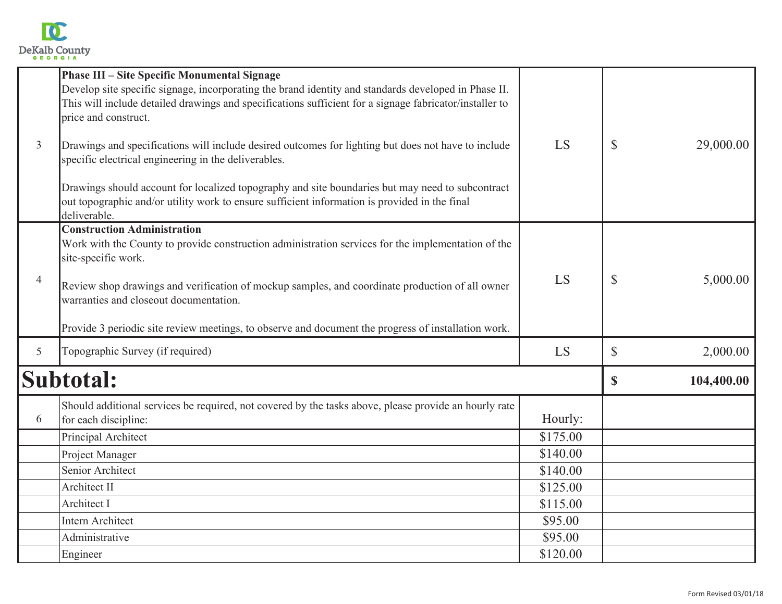

| $\mathfrak{Z}$ | <b>Phase III - Site Specific Monumental Signage</b><br>Develop site specific signage, incorporating the brand identity and standards developed in Phase II.<br>This will include detailed drawings and specifications sufficient for a signage fabricator/installer to<br>price and construct.<br>Drawings and specifications will include desired outcomes for lighting but does not have to include<br>specific electrical engineering in the deliverables.<br>Drawings should account for localized topography and site boundaries but may need to subcontract<br>out topographic and/or utility work to ensure sufficient information is provided in the final<br>deliverable. | LS                                                                                        | $\mathbb{S}$ | 29,000.00  |
|----------------|------------------------------------------------------------------------------------------------------------------------------------------------------------------------------------------------------------------------------------------------------------------------------------------------------------------------------------------------------------------------------------------------------------------------------------------------------------------------------------------------------------------------------------------------------------------------------------------------------------------------------------------------------------------------------------|-------------------------------------------------------------------------------------------|--------------|------------|
| $\overline{4}$ | <b>Construction Administration</b><br>Work with the County to provide construction administration services for the implementation of the<br>site-specific work.<br>Review shop drawings and verification of mockup samples, and coordinate production of all owner<br>warranties and closeout documentation.<br>Provide 3 periodic site review meetings, to observe and document the progress of installation work.                                                                                                                                                                                                                                                                | LS                                                                                        | \$           | 5,000.00   |
| 5 <sup>5</sup> | Topographic Survey (if required)                                                                                                                                                                                                                                                                                                                                                                                                                                                                                                                                                                                                                                                   | LS                                                                                        | $\mathbb{S}$ | 2,000.00   |
| Subtotal:      |                                                                                                                                                                                                                                                                                                                                                                                                                                                                                                                                                                                                                                                                                    |                                                                                           | $\mathbf S$  | 104,400.00 |
| 6              | Should additional services be required, not covered by the tasks above, please provide an hourly rate<br>for each discipline:<br>Principal Architect<br>Project Manager<br>Senior Architect<br>Architect II<br>Architect I<br><b>Intern Architect</b><br>Administrative                                                                                                                                                                                                                                                                                                                                                                                                            | Hourly:<br>\$175.00<br>\$140.00<br>\$140.00<br>\$125.00<br>\$115.00<br>\$95.00<br>\$95.00 |              |            |
|                | Engineer                                                                                                                                                                                                                                                                                                                                                                                                                                                                                                                                                                                                                                                                           | \$120.00                                                                                  |              |            |